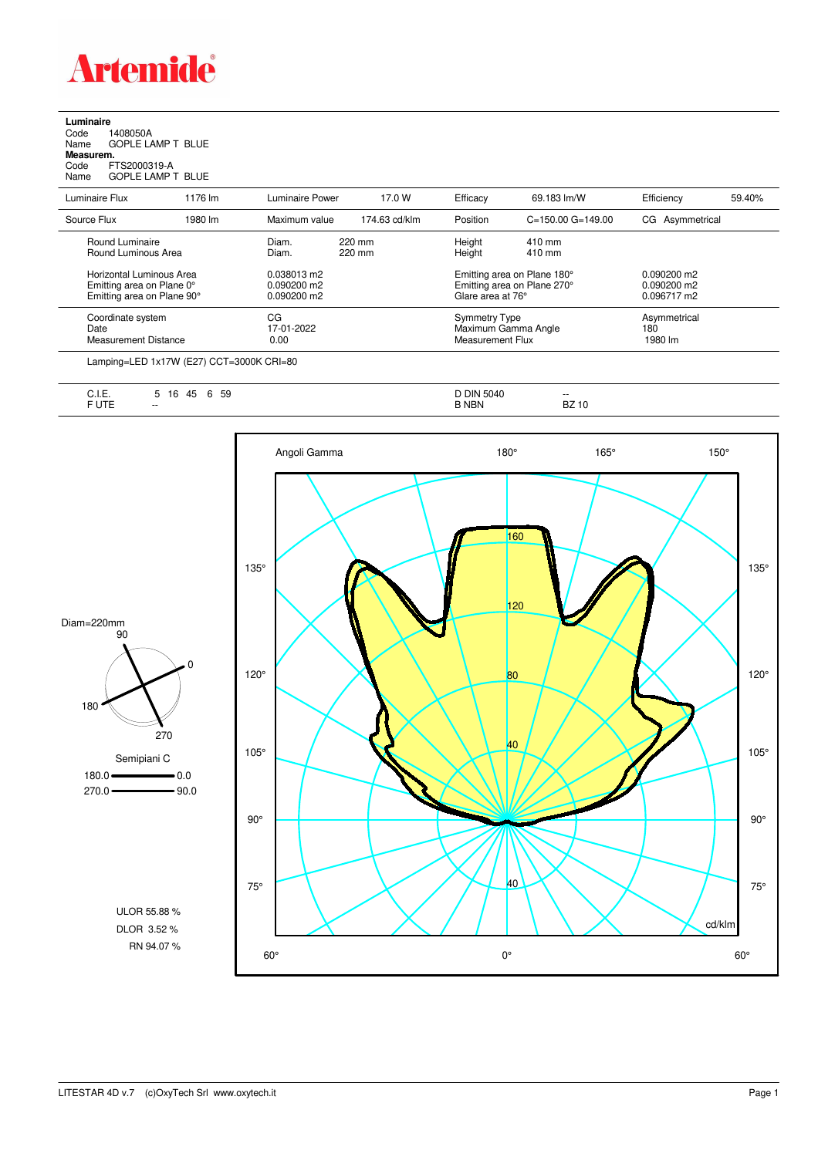

**Luminaire**<br>Code 1<br>Name ( Code 1408050A Name GOPLE LAMP T BLUE **Measurem.**

Code FTS2000319-A Name GOPLE LAMP T BLUE

| Luminaire Flux                                                                      | 1176 lm | Luminaire Power                               | 17.0 W           | Efficacy                                 | 69.183 lm/W                                                | Efficiency                                    | 59.40% |
|-------------------------------------------------------------------------------------|---------|-----------------------------------------------|------------------|------------------------------------------|------------------------------------------------------------|-----------------------------------------------|--------|
| Source Flux                                                                         | 1980 lm | Maximum value                                 | 174.63 cd/klm    | Position                                 | $C = 150.00$ $G = 149.00$                                  | CG Asymmetrical                               |        |
| Round Luminaire<br>Round Luminous Area                                              |         | Diam.<br>Diam.                                | 220 mm<br>220 mm | Height<br>Height                         | $410 \text{ mm}$<br>$410 \text{ mm}$                       |                                               |        |
| Horizontal Luminous Area<br>Emitting area on Plane 0°<br>Emitting area on Plane 90° |         | 0.038013 m2<br>$0.090200$ m2<br>$0.090200$ m2 |                  | Glare area at 76°                        | Emitting area on Plane 180°<br>Emitting area on Plane 270° | $0.090200$ m2<br>$0.090200$ m2<br>0.096717 m2 |        |
| Coordinate system<br>Date<br>Measurement Distance                                   |         | CG<br>17-01-2022<br>0.00                      |                  | <b>Symmetry Type</b><br>Measurement Flux | Maximum Gamma Angle                                        | Asymmetrical<br>180<br>1980 lm                |        |
|                                                                                     |         |                                               |                  |                                          |                                                            |                                               |        |

Lamping=LED 1x17W (E27) CCT=3000K CRI=80